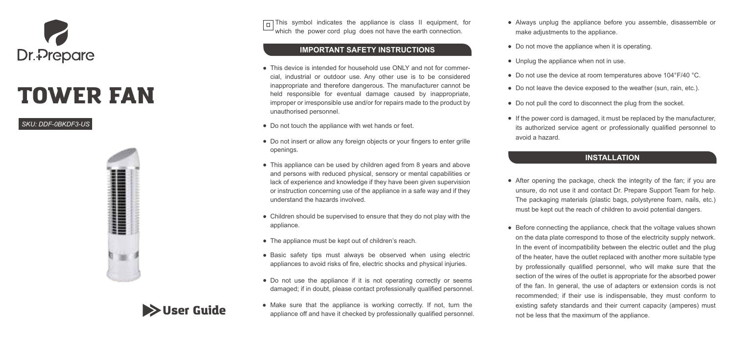

## TOWER FAN

*SKU: DDF-0BKDF3-US*



**Solution** Guide

 $\Box$  This symbol indicates the appliance is class II equipment, for which the power cord plug does not have the earth connection.

#### **IMPORTANT SAFETY INSTRUCTIONS**

- This device is intended for household use ONLY and not for commercial, industrial or outdoor use. Any other use is to be considered inappropriate and therefore dangerous. The manufacturer cannot be held responsible for eventual damage caused by inappropriate. improper or irresponsible use and/or for repairs made to the product by unauthorised personnel.
- Do not touch the appliance with wet hands or feet.
- Do not insert or allow any foreign objects or your fingers to enter grille openings.
- This appliance can be used by children aged from 8 years and above and persons with reduced physical, sensory or mental capabilities or lack of experience and knowledge if they have been given supervision or instruction concerning use of the appliance in a safe way and if they understand the hazards involved.
- Children should be supervised to ensure that they do not play with the appliance.
- The appliance must be kept out of children's reach.
- Basic safety tips must always be observed when using electric appliances to avoid risks of fire, electric shocks and physical injuries.
- Do not use the appliance if it is not operating correctly or seems damaged; if in doubt, please contact professionally qualified personnel.
- Make sure that the appliance is working correctly. If not, turn the appliance off and have it checked by professionally qualified personnel.
- Always unplug the appliance before you assemble, disassemble or make adjustments to the appliance.
- Do not move the appliance when it is operating.
- Unplug the appliance when not in use.
- Do not use the device at room temperatures above 104°F/40 °C.
- Do not leave the device exposed to the weather (sun, rain, etc.).
- Do not pull the cord to disconnect the plug from the socket.
- If the power cord is damaged, it must be replaced by the manufacturer, its authorized service agent or professionally qualified personnel to avoid a hazard.

#### **INSTALLATION**

- After opening the package, check the integrity of the fan; if you are unsure, do not use it and contact Dr. Prepare Support Team for help. The packaging materials (plastic bags, polystyrene foam, nails, etc.) must be kept out the reach of children to avoid potential dangers.
- Before connecting the appliance, check that the voltage values shown on the data plate correspond to those of the electricity supply network. In the event of incompatibility between the electric outlet and the plug of the heater, have the outlet replaced with another more suitable type by professionally qualified personnel, who will make sure that the section of the wires of the outlet is appropriate for the absorbed power of the fan. In general, the use of adapters or extension cords is not recommended; if their use is indispensable, they must conform to existing safety standards and their current capacity (amperes) must not be less that the maximum of the appliance.